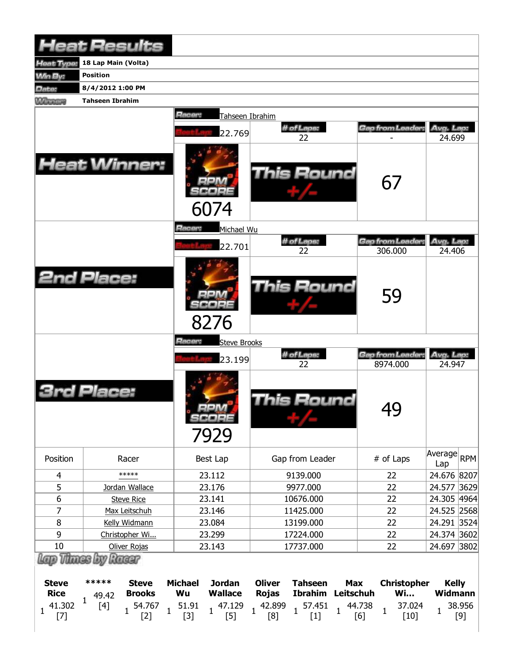|                                 | <b>Heat Results</b>                             |                                                                   |                                                                                              |                                                   |                                 |
|---------------------------------|-------------------------------------------------|-------------------------------------------------------------------|----------------------------------------------------------------------------------------------|---------------------------------------------------|---------------------------------|
| Heat Type:                      | 18 Lap Main (Volta)                             |                                                                   |                                                                                              |                                                   |                                 |
| <b>Win By:</b>                  | <b>Position</b>                                 |                                                                   |                                                                                              |                                                   |                                 |
| Date:                           | 8/4/2012 1:00 PM                                |                                                                   |                                                                                              |                                                   |                                 |
| <b>Winners</b>                  | <b>Tahseen Ibrahim</b>                          |                                                                   |                                                                                              |                                                   |                                 |
|                                 |                                                 | Racer:<br>Tahseen Ibrahim                                         |                                                                                              |                                                   |                                 |
|                                 | <b>Heat Winner:</b>                             | 22.769<br>6074                                                    | # of Laps:<br>22<br>This Round                                                               | Gap from Leader:<br>67                            | Avg. Lap:<br>24.699             |
|                                 |                                                 | Racer:<br>Michael Wu                                              |                                                                                              |                                                   |                                 |
|                                 |                                                 | 22.701                                                            | # of Laps:<br>22                                                                             | Gap from Leader<br>306.000                        | Avg. Lap:<br>24.406             |
|                                 | <b>2nd Place:</b>                               | 8276                                                              | <b>This Round</b>                                                                            | 59                                                |                                 |
|                                 |                                                 | Racer:<br><b>Steve Brooks</b>                                     |                                                                                              |                                                   |                                 |
|                                 |                                                 | 23.199                                                            | # of Laps:<br>22                                                                             | Gap from Leader:<br>8974.000                      | Avg. Lap:<br>24.947             |
|                                 | Place:                                          | 7e a 22<br>7929                                                   | <b>This Round</b>                                                                            | 49                                                |                                 |
| Position                        | Racer                                           | Best Lap                                                          | Gap from Leader                                                                              | # of Laps                                         | Average <br>RPM<br>Lap          |
| 4                               | *****                                           | 23.112                                                            | 9139.000                                                                                     | 22                                                | 24.676 8207                     |
| 5                               | Jordan Wallace                                  | 23.176                                                            | 9977.000                                                                                     | 22                                                | 24.577<br> 3629                 |
| 6                               | <b>Steve Rice</b>                               | 23.141                                                            | 10676.000                                                                                    | 22                                                | 24.305 4964                     |
| 7                               | Max Leitschuh                                   | 23.146                                                            | 11425.000                                                                                    | 22                                                | 24.525 2568                     |
| 8                               | Kelly Widmann                                   | 23.084                                                            | 13199.000                                                                                    | 22                                                | 24.291 3524                     |
| 9<br>$10\,$                     | Christopher Wi                                  | 23.299                                                            | 17224.000<br>17737.000                                                                       | 22<br>22                                          | 24.374 3602<br>24.697 3802      |
|                                 | Oliver Rojas<br>Lap Thines by Racer             | 23.143                                                            |                                                                                              |                                                   |                                 |
| <b>Steve</b><br><b>Rice</b>     | *****<br><b>Steve</b><br><b>Brooks</b><br>49.42 | <b>Michael</b><br><b>Jordan</b><br><b>Wallace</b><br>Wu           | <b>Oliver</b><br><b>Tahseen</b><br><b>Max</b><br><b>Ibrahim</b><br>Leitschuh<br><b>Rojas</b> | <b>Christopher</b><br><b>Wi</b>                   | <b>Kelly</b><br><b>Widmann</b>  |
| 41.302<br>$\mathbf{1}$<br>$[7]$ | $\mathbf{1}$<br>$[4]$<br>54.767<br>$[2]$        | 51.91<br>47.129<br>$\mathbf{1}$<br>$\mathbf{1}$<br>$[3]$<br>$[5]$ | 42.899<br>57.451<br>$\mathbf{1}$<br>$\mathbf{1}$<br>$\mathbf{1}$<br>$[1]$<br>[8]             | 37.024<br>44.738<br>$\mathbf{1}$<br>[6]<br>$[10]$ | 38.956<br>$\mathbf{1}$<br>$[9]$ |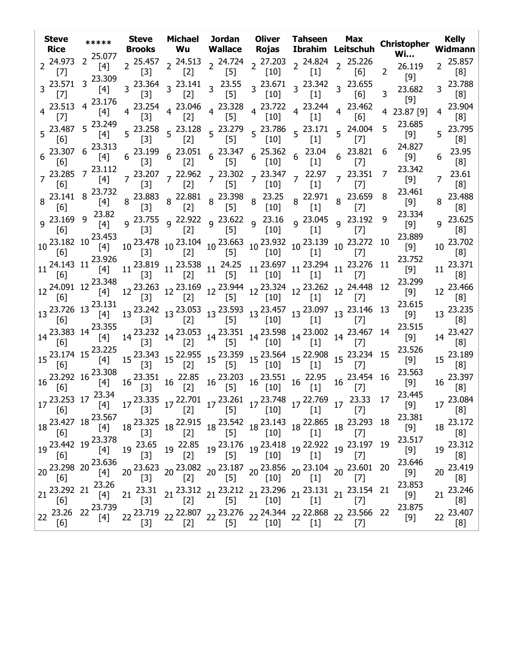| <b>Steve</b><br><b>Rice</b> | *****                                                                                                                                                                 | <b>Steve</b><br>Brooks     | Michael<br><b>Wu</b> | Wallace                                                                                                                                   | Jordan Oliver Tahseen<br>Rojas                                                                                                                                                                                                                                                                                                                                                |                  | Max<br>Ibrahim Leitschuh                                                                                                                                                                                                                                                                                                                                                                                          | <b>Christopher</b><br><b>Wi</b> | <b>Kelly</b><br>Widmann            |
|-----------------------------|-----------------------------------------------------------------------------------------------------------------------------------------------------------------------|----------------------------|----------------------|-------------------------------------------------------------------------------------------------------------------------------------------|-------------------------------------------------------------------------------------------------------------------------------------------------------------------------------------------------------------------------------------------------------------------------------------------------------------------------------------------------------------------------------|------------------|-------------------------------------------------------------------------------------------------------------------------------------------------------------------------------------------------------------------------------------------------------------------------------------------------------------------------------------------------------------------------------------------------------------------|---------------------------------|------------------------------------|
| $2^{24.973}$<br>$[7]$       | $2^{25.077}$<br>$[4]$                                                                                                                                                 | $\left[3\right]$           | $\left[2\right]$     | [5]                                                                                                                                       | [10]                                                                                                                                                                                                                                                                                                                                                                          | $\left[1\right]$ | 2 25.457 2 24.513 2 24.724 2 27.203 2 24.824 2 25.226<br>[6]                                                                                                                                                                                                                                                                                                                                                      | 26.119<br>$\overline{2}$<br>[9] | 2 25.857<br>[8]                    |
| $[7]$                       | 3 23.571 3 23.309<br>$[4]$                                                                                                                                            | $\left[3\right]$           | [2]                  | $3\begin{array}{cc} 23.364 \\ 3\end{array}$ $\begin{array}{cc} 23.141 \\ 3\end{array}$ $\begin{array}{cc} 23.55 \\ 1\end{array}$<br>$[5]$ | $[10]$                                                                                                                                                                                                                                                                                                                                                                        | [1]              | $3\frac{23.671}{103}$ $3\frac{23.342}{103}$ $3\frac{23.655}{103}$<br>[6]                                                                                                                                                                                                                                                                                                                                          | 23.682<br>3                     | 3 23.788<br>$\lceil 8 \rceil$      |
|                             | 4 23.513 4 23.176<br>[4]                                                                                                                                              | $\left[3\right]$           | $\left[2\right]$     | $4\begin{array}{cccc} 23.254 & 4 & 23.046 & 4 & 23.328 \\ 523 & 4 & 523 & 4 & 523 \end{array}$<br>$[5]$                                   | [10]                                                                                                                                                                                                                                                                                                                                                                          | $[1]$            | $4\begin{array}{cccc} 23.722 & 23.244 & 23.462 \\ 4 & 5.23 & 4 & 5.3 \end{array}$<br>[6]                                                                                                                                                                                                                                                                                                                          | $[9]$<br>23.87 [9]              | 23.904<br>4<br>[8]                 |
| [6]                         | 5 23.487 5 23.249<br>$[4]$                                                                                                                                            | $[3]$                      | [2]                  | [5]                                                                                                                                       | $\begin{bmatrix} 10 \end{bmatrix}$                                                                                                                                                                                                                                                                                                                                            | $[1]$            | $5\begin{array}{cc} 23.258 & 5\end{array}$ $5\begin{array}{cc} 23.128 & 5\end{array}$ $5\begin{array}{cc} 23.279 & 5\end{array}$ $5\begin{array}{cc} 23.786 & 5\end{array}$ $5\begin{array}{cc} 23.171 & 5\end{array}$ $24.004$<br>[7]                                                                                                                                                                            | 23.685<br>5<br>[9]              | 5 23.795<br>[8]                    |
| [6]                         | $6\begin{array}{l} 23.307 & 6 \end{array}$ 23.313<br>$[4]$                                                                                                            |                            |                      |                                                                                                                                           |                                                                                                                                                                                                                                                                                                                                                                               |                  | $\begin{array}{ccccccccc} 6& 23.199 & 6& 23.051 & 6& 23.347 & 6& 25.362 & 6& 23.04 & 6& 23.821 \\ & & [3] & & [2] & & [5] & & [10] & & [1] & & [7] & & \end{array}$                                                                                                                                                                                                                                               | 24.827<br>6<br>[9]              | 23.95<br>6<br>[8]                  |
| [6]                         | 7 23.285 7 23.112<br>[4]                                                                                                                                              | $[3]$                      | $[2]$                | $[5]$                                                                                                                                     | $7\frac{23.207}{521}$ $7\frac{22.962}{521}$ $7\frac{23.302}{521}$ $7\frac{23.347}{5421}$ $7\frac{22.97}{542}$<br>$[10]$                                                                                                                                                                                                                                                       | $[1]$            | $7^{23.351}$<br>$[7]$                                                                                                                                                                                                                                                                                                                                                                                             | 23.342<br>7<br>[9]              | 23.61<br>$\overline{7}$<br>[8]     |
| $8^{23.141}$ 8<br>[6]       | 23.732<br>[4]                                                                                                                                                         |                            |                      |                                                                                                                                           |                                                                                                                                                                                                                                                                                                                                                                               | $[1]$            | $8\begin{array}{cc} 22.971 & 8 & 23.659 \\ 51 & 8 & 53 \end{array}$<br>$[7]$                                                                                                                                                                                                                                                                                                                                      | 23.461<br>8<br>[9]              | 23.488<br>8<br>[8]                 |
| [6]                         | 9 23.169 9 23.82<br>$[4]$                                                                                                                                             |                            |                      |                                                                                                                                           |                                                                                                                                                                                                                                                                                                                                                                               |                  | 9 <sup>23.755</sup> 9 <sup>22.922</sup> 9 <sup>23.622</sup> 9 <sup>23.16</sup> 9 <sup>23.045</sup> 9 <sup>23.192</sup><br>[3]       [2]       [5]      [10]       [1]       [7]                                                                                                                                                                                                                                   | 23.334<br>9<br>$[9]$            | $9^{23.625}$<br>[8]                |
| [6]                         | $10\frac{23.182}{10}$ $10\frac{23.453}{10}$                                                                                                                           |                            |                      |                                                                                                                                           |                                                                                                                                                                                                                                                                                                                                                                               |                  | $10\,\, \begin{array}{ccc} 23.478 & 10\,\, 23.104 & 10\,\, 23.663 & 10\,\, 23.932 & 10\,\, 23.139 & 10\,\, 23.272 & 10 \\ [3] & \, [2] & \, [5] & \, [10] & \, [1] & \, [7] \end{array}$                                                                                                                                                                                                                          | 23.889<br>$[9]$                 | 10 23.702<br>[8]                   |
|                             | 11 24.143 11 23.926<br>[4]                                                                                                                                            |                            |                      |                                                                                                                                           |                                                                                                                                                                                                                                                                                                                                                                               |                  | $11 \begin{array}{c c c c c c c} 11 & 23.819 & 11 & 23.538 & 11 & 24.25 & 11 & 23.697 & 11 & 23.294 & 11 & 23.276 & 11 \\ \hline \text{[3]} & & \text{[2]} & & \text{[5]} & & \text{[10]} & & \text{[1]} & & \text{[7]} & & \end{array}$                                                                                                                                                                          | 23.752<br>[9]                   | $11^{23.371}$<br>$\lceil 8 \rceil$ |
| [6]                         | 12 24.091 12 23.348<br>[4]                                                                                                                                            |                            |                      |                                                                                                                                           |                                                                                                                                                                                                                                                                                                                                                                               |                  | $12\,\begin{array}{l}\n 23.263 \\ 12\,\begin{array}{l}\n 23.169 \\ 12\,\end{array}\n \end{array}\n \quad 12\,\begin{array}{l}\n 23.944 \\ 12\,\begin{array}{l}\n 23.324 \\ 10\,\end{array}\n \end{array}\n \quad 12\,\begin{array}{l}\n 23.262 \\ 12\,\begin{array}{l}\n 24.448 \\ 7\,\end{array}\n \end{array}$                                                                                                  | 23.299<br>12<br>[9]             | 12 23.466<br>[8]                   |
| [6]                         | 13 23.726 13 23.131<br>$[4]$                                                                                                                                          |                            |                      |                                                                                                                                           |                                                                                                                                                                                                                                                                                                                                                                               |                  | $13\,\, \begin{matrix} 23.242 & 13 \\ 23.053 & 13 \\ 34 & 54 \\ \end{matrix} \quad \, 13\,\, \begin{matrix} 23.593 & 13 \\ 53 & 13 \\ \end{matrix} \quad \, 13\,\, \begin{matrix} 23.457 & 13 \\ 101 & 13 \\ \end{matrix} \quad \, 13\,\, \begin{matrix} 23.146 & 13 \\ 141 & 54 \\ \end{matrix}$                                                                                                                 | 23.615<br>[9]                   | 13 23.235<br>[8]                   |
| [6]                         | 14 23.383 14 23.355<br>$[4]$                                                                                                                                          |                            |                      |                                                                                                                                           |                                                                                                                                                                                                                                                                                                                                                                               |                  | $14\, \begin{array}{l} 23.232\\ \begin{bmatrix} 3 \end{bmatrix} \end{array} \quad 14\, \begin{array}{l} 23.053\\ \begin{bmatrix} 2 \end{bmatrix} \end{array} \quad 14\, \begin{array}{l} 23.551\\ \begin{bmatrix} 10 \end{bmatrix} \end{array} \quad 14\, \begin{array}{l} 23.002\\ \begin{bmatrix} 1 \end{bmatrix} \end{array} \quad 14\, \begin{array}{l} 23.467\\ \begin{bmatrix} 7 \end{bmatrix} \end{array}$ | 23.515<br>[9]                   | 14 23.427<br>[8]                   |
| [6]                         | 15 23.174 15 23.225<br>[4]                                                                                                                                            |                            |                      |                                                                                                                                           |                                                                                                                                                                                                                                                                                                                                                                               |                  | $15\,\, \begin{matrix} 23.343 & 15\,\, 22.955 & 15\,\, 23.359 & 15\,\, 23.564 & 15\,\, 22.908 & 15\,\, 23.234 & 15\,\, \\ \begin{bmatrix} 2\end{bmatrix} & 15\,\, \begin{bmatrix} 23.564 & 15\,\, 22.908 & 15\,\, 23.234 & 15\,\, \\ \end{bmatrix}$                                                                                                                                                               | 23.526<br>[9]                   | 15 23.189<br>$\lceil 8 \rceil$     |
| [6]                         | 16 23.292 16 23.308<br>[4]                                                                                                                                            |                            |                      |                                                                                                                                           | $16\begin{array}{l} 23.351 \\ \begin{bmatrix} 3 \end{bmatrix} \end{array} 16\begin{array}{l} 22.85 \\ \begin{bmatrix} 2 \end{bmatrix} \end{array} 16\begin{array}{l} 23.203 \\ \begin{bmatrix} 5 \end{bmatrix} \end{array} 16\begin{array}{l} 23.551 \\ \begin{bmatrix} 10 \end{bmatrix} \end{array} 16\begin{array}{l} 22.95 \\ \begin{bmatrix} 1 \end{bmatrix} \end{array}$ |                  | $16\begin{array}{l}\n 23.454 \\ \hline\n 16\n \end{array}$<br>$[7]$                                                                                                                                                                                                                                                                                                                                               | 23.563<br>[9]                   | 16 23.397<br>[8]                   |
|                             |                                                                                                                                                                       |                            |                      |                                                                                                                                           |                                                                                                                                                                                                                                                                                                                                                                               |                  | $17\frac{23.253}{[6]}$ $17\frac{23.34}{[4]}$ $17\frac{23.335}{[3]}$ $17\frac{22.701}{[2]}$ $17\frac{23.261}{[5]}$ $17\frac{23.748}{[10]}$ $17\frac{22.769}{[1]}$ $17\frac{23.33}{[7]}$ $17\frac{23.33}{[7]}$                                                                                                                                                                                                      | 23.445<br>17<br>[9]             | 17 23.084<br>[8]                   |
| [6]                         | 18 23.427 18 23.567                                                                                                                                                   |                            |                      |                                                                                                                                           |                                                                                                                                                                                                                                                                                                                                                                               |                  | $18\, \begin{array}{l}\n 23.325 \\ 18\quad \  \  \, 22.915 \\ 18\quad \  \  \, 18 & \quad \  \  \, 23.542 \\ 18\quad \  \  \, 18 & \quad \  \  \, 23.143 \\ 19\quad \  \  \, 18 & \quad \  \  \, 22.865 \\ 10\quad \  \  \, 18 & \quad \  \  \, 23.293 \\ 18\quad \  \  \, 18 & \quad \  \  \, 23.294\n \end{array}$                                                                                              | 23.381                          | 18 23.172<br>[8]                   |
| $[6]$                       | 19 23.442 19 23.378                                                                                                                                                   | 19 <sup>23.65</sup><br>[3] |                      |                                                                                                                                           |                                                                                                                                                                                                                                                                                                                                                                               |                  | $19 \begin{array}{c c c c c c c c} 19 & 23.176 & 19 & 23.418 & 19 & 22.922 & 19 & 23.197 & 19 \\ \hline \text{[2]} & \text{[5]} & \text{[10]} & \text{[1]} & \text{[1]} & \text{[7]} & \end{array}$                                                                                                                                                                                                               | 23.517<br>$[9]$                 | 23.312<br>19<br>[8]                |
| 20 23.298 20 23.636<br>[6]  | $[4] % \includegraphics[width=0.9\columnwidth]{images/TrDiM1.png} % \caption{The figure shows the results of the estimators in the left and right.} \label{TrDiM2} %$ | $[3]$                      | $[2]$                | $[5]$                                                                                                                                     | [10]                                                                                                                                                                                                                                                                                                                                                                          | $[1]$            | 20 23.623 20 23.082 20 23.187 20 23.856 20 23.104 20 23.601 20<br>$[7]$                                                                                                                                                                                                                                                                                                                                           | 23.646<br>$[9]$                 | 20 23.419<br>[8]                   |
| 21 23.292 21<br>[6]         | 23.26<br>$[4]$                                                                                                                                                        | 23.31<br>21<br>$[3]$       | $[2]$                | $[5]$                                                                                                                                     | $[10]$                                                                                                                                                                                                                                                                                                                                                                        | $[1]$            | 21 23.312 21 23.212 21 23.296 21 23.131 21 23.154 21<br>$[7]$                                                                                                                                                                                                                                                                                                                                                     | 23.853<br>$[9]$                 | 21 23.246<br>[8]                   |
| 23.26<br>22<br>[6]          | 22 23.739<br>$[4]$                                                                                                                                                    | 22<br>$[3]$                | [2]                  | $[5]$                                                                                                                                     | $[10]$                                                                                                                                                                                                                                                                                                                                                                        | $[1]$            | 23.719 22 22.807 22 23.276 22 24.344 22 22.868 22 23.566 22<br>$[7]$                                                                                                                                                                                                                                                                                                                                              | 23.875                          | 23.407<br>22<br>[8]                |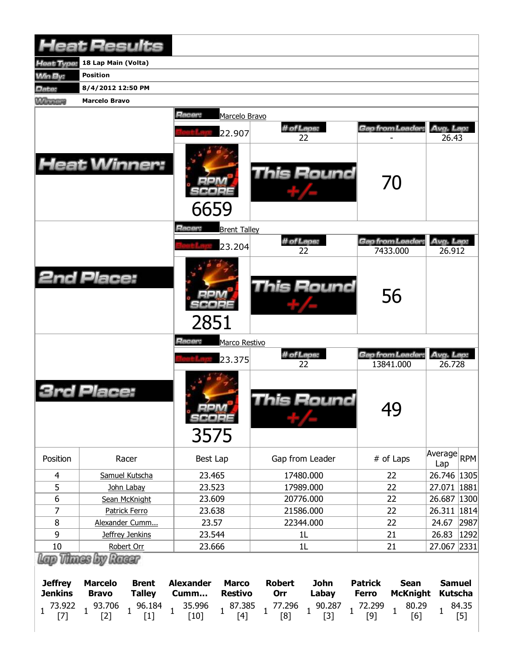| <b>Heat Results</b>                                         |                                                                                                                                             |                                                                                                                                   |                                                                                                                  |                                                                                                                     |                                                                   |  |  |  |  |  |
|-------------------------------------------------------------|---------------------------------------------------------------------------------------------------------------------------------------------|-----------------------------------------------------------------------------------------------------------------------------------|------------------------------------------------------------------------------------------------------------------|---------------------------------------------------------------------------------------------------------------------|-------------------------------------------------------------------|--|--|--|--|--|
| Heat Type:                                                  | 18 Lap Main (Volta)                                                                                                                         |                                                                                                                                   |                                                                                                                  |                                                                                                                     |                                                                   |  |  |  |  |  |
| <b>Min By:</b>                                              | <b>Position</b>                                                                                                                             |                                                                                                                                   |                                                                                                                  |                                                                                                                     |                                                                   |  |  |  |  |  |
| Date:                                                       | 8/4/2012 12:50 PM                                                                                                                           |                                                                                                                                   |                                                                                                                  |                                                                                                                     |                                                                   |  |  |  |  |  |
| <b>Winnipeg</b>                                             | <b>Marcelo Bravo</b>                                                                                                                        |                                                                                                                                   |                                                                                                                  |                                                                                                                     |                                                                   |  |  |  |  |  |
|                                                             |                                                                                                                                             | Racer:<br>Marcelo Bravo<br>22.907                                                                                                 | # of Laps:<br>22                                                                                                 | <b>Gap from Leader:</b>                                                                                             | Avg. Lap:<br>26.43                                                |  |  |  |  |  |
|                                                             | <b>Heat Winner:</b>                                                                                                                         | 6659                                                                                                                              | This Round                                                                                                       | 70                                                                                                                  |                                                                   |  |  |  |  |  |
|                                                             |                                                                                                                                             | <b>Racer:</b><br><b>Brent Talley</b>                                                                                              |                                                                                                                  |                                                                                                                     |                                                                   |  |  |  |  |  |
|                                                             |                                                                                                                                             | 23.204                                                                                                                            | # of Laps:<br>22                                                                                                 | Gap from Leader,<br>7433.000                                                                                        | Avg. Lap:<br>26.912                                               |  |  |  |  |  |
|                                                             | <b>2nd Place:</b>                                                                                                                           | 2851                                                                                                                              | <b>This Round</b>                                                                                                | 56                                                                                                                  |                                                                   |  |  |  |  |  |
|                                                             |                                                                                                                                             | Racer:<br>Marco Restivo                                                                                                           |                                                                                                                  |                                                                                                                     |                                                                   |  |  |  |  |  |
|                                                             |                                                                                                                                             | 23.375                                                                                                                            | # of Laps:<br>22                                                                                                 | Gap from Leader:<br>13841.000                                                                                       | Avg. Lap:<br>26.728                                               |  |  |  |  |  |
|                                                             | Place:                                                                                                                                      | $=1$ m $/4$<br>SCORE<br>3575                                                                                                      | This Round                                                                                                       | 49                                                                                                                  |                                                                   |  |  |  |  |  |
| Position                                                    | Racer                                                                                                                                       | Best Lap                                                                                                                          | Gap from Leader                                                                                                  | # of Laps                                                                                                           | Average<br><b>RPM</b><br>Lap                                      |  |  |  |  |  |
| $\overline{4}$                                              | Samuel Kutscha                                                                                                                              | 23.465                                                                                                                            | 17480.000                                                                                                        | 22                                                                                                                  | 26.746 1305                                                       |  |  |  |  |  |
| 5                                                           | John Labay                                                                                                                                  | 23.523                                                                                                                            | 17989.000                                                                                                        | 22                                                                                                                  | 27.071 1881                                                       |  |  |  |  |  |
| 6                                                           | Sean McKnight                                                                                                                               | 23.609                                                                                                                            | 20776.000                                                                                                        | 22                                                                                                                  | 26.687<br> 1300                                                   |  |  |  |  |  |
| $\overline{7}$                                              | Patrick Ferro                                                                                                                               | 23.638                                                                                                                            | 21586.000                                                                                                        | 22                                                                                                                  | 26.311 1814                                                       |  |  |  |  |  |
| 8                                                           | Alexander Cumm                                                                                                                              | 23.57                                                                                                                             | 22344.000                                                                                                        | 22                                                                                                                  | 2987<br>24.67                                                     |  |  |  |  |  |
| 9                                                           | Jeffrey Jenkins                                                                                                                             | 23.544                                                                                                                            | 1L                                                                                                               | 21                                                                                                                  | 1292<br>26.83                                                     |  |  |  |  |  |
| 10                                                          | Robert Orr                                                                                                                                  | 23.666                                                                                                                            | 1L                                                                                                               | 21                                                                                                                  | 27.067 2331                                                       |  |  |  |  |  |
| <b>Jeffrey</b><br><b>Jenkins</b><br>73.922<br>1<br>$^{[7]}$ | Lap Thass by Racer<br><b>Brent</b><br><b>Marcelo</b><br><b>Talley</b><br><b>Bravo</b><br>93.706<br>96.184<br>$\mathbf{1}$<br>$[2]$<br>$[1]$ | <b>Alexander</b><br><b>Marco</b><br><b>Restivo</b><br>Cumm<br>35.996<br>87.385<br>$\mathbf{1}$<br>$\mathbf{1}$<br>$[10]$<br>$[4]$ | <b>Robert</b><br><b>John</b><br>Orr<br>Labay<br>90.287<br>77.296<br>$\mathbf{1}$<br>$\mathbf{1}$<br>$[3]$<br>[8] | <b>Patrick</b><br><b>Sean</b><br><b>McKnight</b><br><b>Ferro</b><br>72.299<br>80.29<br>$\mathbf{1}$<br>$[9]$<br>[6] | <b>Samuel</b><br><b>Kutscha</b><br>84.35<br>$\mathbf{1}$<br>$[5]$ |  |  |  |  |  |